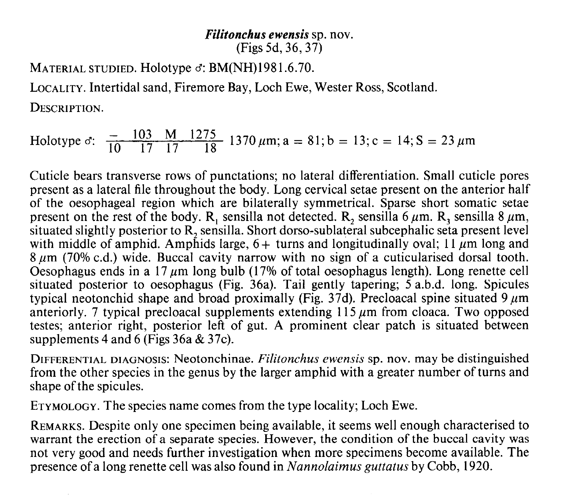## Filitonchus ewensis sp. nov. (Figs 5d, 36, 37)

MATERIAL STUDIED. Holotype  $\sigma$ : BM(NH)1981.6.70. LOCALITY. Intertidal sand, Firemore Bay, Loch Ewe, Wester Ross, Scotland. DESCRIPTION.

Holotype  $\sigma$ :  $\frac{-103}{10} \frac{M}{17} \frac{1275}{17}$  1370  $\mu$ m; a = 81; b = 13; c = 14; S = 23  $\mu$ m

Cuticle bears transverse rows of punctations; no lateral differentiation. Small cuticle pores present as a lateral file throughout the body. Long cervical setae present on the anterior half of the oesophageal region which are bilaterally symmetrical. Sparse short somatic setae present on the rest of the body. R, sensilla not detected. R, sensilla 6  $\mu$ m. R, sensilla 8  $\mu$ m, situated slightly posterior to R, sensilla. Short dorso-sublateral subcephalic seta present level with middle of amphid. Amphids large,  $6+$  turns and longitudinally oval; 11  $\mu$ m long and 8 µm (70% c.d.) wide. Buccal cavity narrow with no sign of a cuticularised dorsal tooth. Oesophagus ends in a 17  $\mu$ m long bulb (17% of total oesophagus length). Long renette cell situated posterior to oesophagus (Fig. 36a). Tail gently tapering; 5 a.b.d. long. Spicules typical neotonchid shape and broad proximally (Fig. 37d). Precloacal spine situated 9  $\mu$ m anteriorly. 7 typical precloacal supplements extending  $115 \mu m$  from cloaca. Two opposed testes; anterior right, posterior left of gut. A prominent clear patch is situated between supplements 4 and 6 (Figs 36a & 37c).

DIFFERENTIAL DIAGNOSIS: Neotonchinae. Filitonchus ewensis sp. nov. may be distinguished from the other species in the genus by the larger amphid with a greater number of turns and shape of the spicules.

ETYMOLOGY. The species name comes from the type locality; Loch Ewe.

REMARKS. Despite only one specimen being available, it seems well enough characterised to warrant the erection of a separate species. However, the condition of the buccal cavity was not very good and needs further investigation when more specimens become available. The presence of a long renette cell was also found in Nannolaimus guttatus by Cobb, 1920.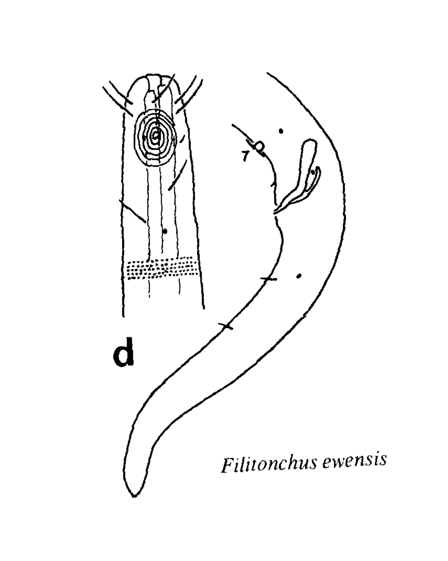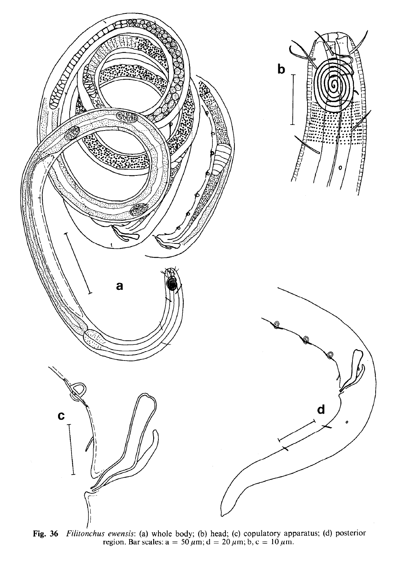

Fig. 36 Filitonchus ewensis: (a) whole body; (b) head; (c) copulatory apparatus; (d) posterior region. Bar scales:  $a = 50 \,\mu\text{m}$ ;  $d = 20 \,\mu\text{m}$ ; b, c = 10  $\mu\text{m}$ .